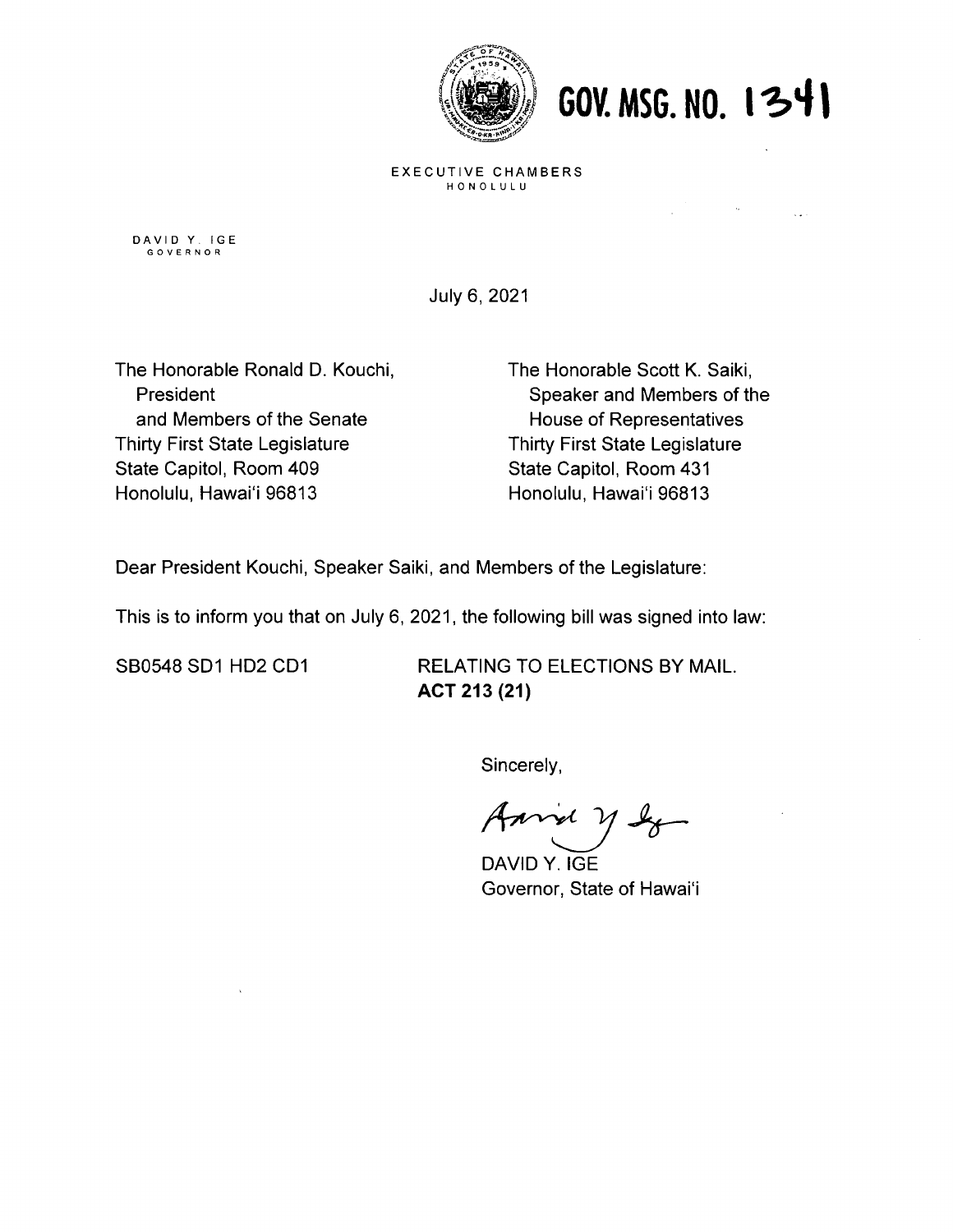

60V. MSG. NO. 1341

 $\sim 100$  km s  $^{-1}$  .

EXECUTIVE CHAMBERS HONOLULU

DAVID Y. IGE GOVERNOR

July 6, 2021

The Honorable Ronald D. Kouchi, The Honorable Scott K. Saiki, and Members of the Senate House of Representatives Thirty First State Legislature Thirty First State Legislature State Capitol, Room 409 State Capitol, Room 431 Honolulu, Hawai'i 96813 Honolulu, Hawai'i 96813

President **Speaker and Members of the** 

Dear President Kouchi, Speaker Saiki, and Members of the Legislature:

This is to inform you that on July 6, 2021, the following bill was signed into law:

SBO548 SD1 HD2 CD1 RELATING TO ELECTIONS BY MAIL. ACT 213 (21)

Sincerely,

DAVID Y. IGE Governor, State of Hawai'i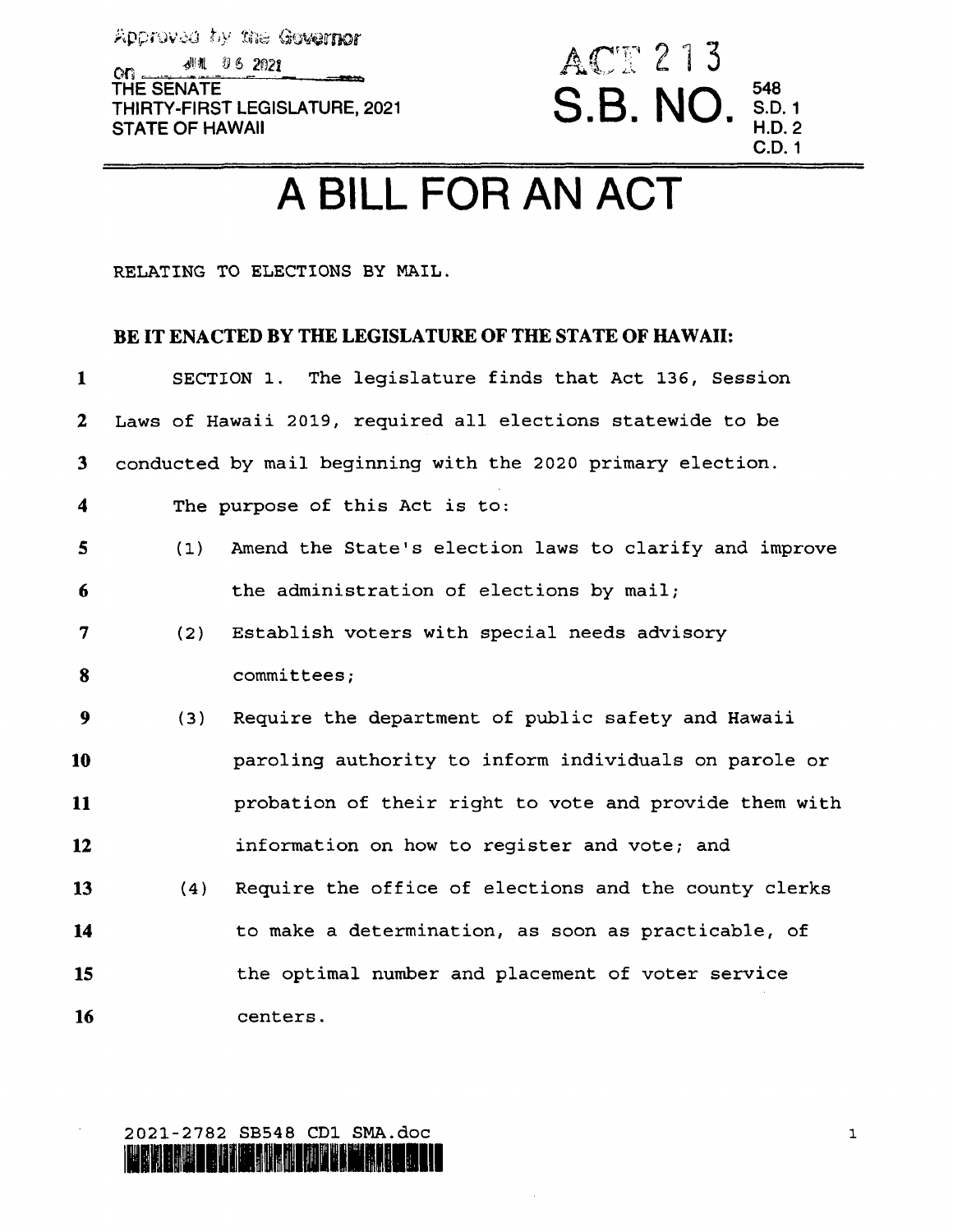Approved by the Governor **dill** 06 2021  $O<sub>G</sub>$ THE SENATE THIRTY-FIRST LEGISLATURE, 2021 **STATE OF HAWAII** 



## A BILL FOR AN ACT

RELATING TO ELECTIONS BY MAIL.

## BE IT ENACTED BY THE LEGISLATURE OF THE STATE OF HAWAII:

| $\mathbf{1}$   |     | SECTION 1. The legislature finds that Act 136, Session      |
|----------------|-----|-------------------------------------------------------------|
| 2 <sub>1</sub> |     | Laws of Hawaii 2019, required all elections statewide to be |
| 3 <sup>1</sup> |     | conducted by mail beginning with the 2020 primary election. |
| 4              |     | The purpose of this Act is to:                              |
| $\mathbf{5}$   | (1) | Amend the State's election laws to clarify and improve      |
| 6              |     | the administration of elections by mail;                    |
| 7              | (2) | Establish voters with special needs advisory                |
| 8              |     | committees;                                                 |
| 9              | (3) | Require the department of public safety and Hawaii          |
| 10             |     | paroling authority to inform individuals on parole or       |
| 11             |     | probation of their right to vote and provide them with      |
| 12             |     | information on how to register and vote; and                |
| 13             | (4) | Require the office of elections and the county clerks       |
| 14             |     | to make a determination, as soon as practicable, of         |
| 15             |     | the optimal number and placement of voter service           |
| 16             |     | centers.                                                    |

2021-2782 SB548 CD1 SMA.doc <u> Kanya di Bangaran Indon</u>

 $\mathbf{1}$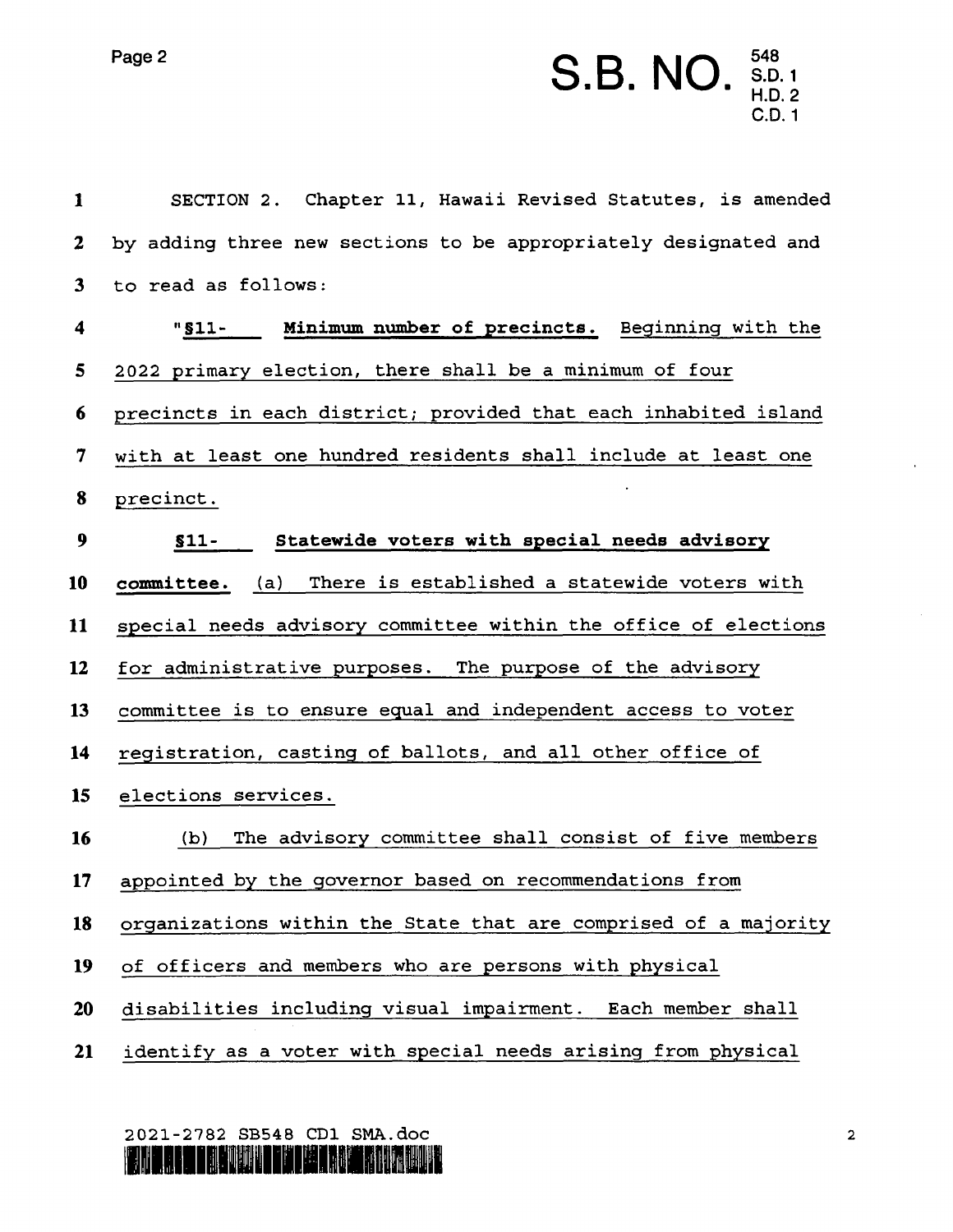## Page 2  $S.B. NO.$   $_{H.D.}^{548}$

| 1                | SECTION 2. Chapter 11, Hawaii Revised Statutes, is amended      |  |  |  |  |
|------------------|-----------------------------------------------------------------|--|--|--|--|
| $\boldsymbol{2}$ | by adding three new sections to be appropriately designated and |  |  |  |  |
| $\mathbf{3}$     | to read as follows:                                             |  |  |  |  |
| 4                | "\$11- Minimum number of precincts. Beginning with the          |  |  |  |  |
| 5                | 2022 primary election, there shall be a minimum of four         |  |  |  |  |
| 6                | precincts in each district; provided that each inhabited island |  |  |  |  |
| 7                | with at least one hundred residents shall include at least one  |  |  |  |  |
| 8                | precinct.                                                       |  |  |  |  |
| 9                | Statewide voters with special needs advisory<br>$$11-$          |  |  |  |  |
| 10               | committee. (a) There is established a statewide voters with     |  |  |  |  |
| 11               | special needs advisory committee within the office of elections |  |  |  |  |
| 12               | for administrative purposes. The purpose of the advisory        |  |  |  |  |
| 13               | committee is to ensure equal and independent access to voter    |  |  |  |  |
| 14               | registration, casting of ballots, and all other office of       |  |  |  |  |
| 15               | elections services.                                             |  |  |  |  |
| 16               | The advisory committee shall consist of five members<br>(b)     |  |  |  |  |
| 17 <sub>2</sub>  | appointed by the governor based on recommendations from         |  |  |  |  |
| 18               | organizations within the State that are comprised of a majority |  |  |  |  |
| 19               | of officers and members who are persons with physical           |  |  |  |  |
| <b>20</b>        | disabilities including visual impairment. Each member shall     |  |  |  |  |
| 21               | identify as a voter with special needs arising from physical    |  |  |  |  |

<sup>2021-2782</sup> SB548 CD1 SMA.d0C

lflor left in the way and the construction of the construction of the construction of the construction of the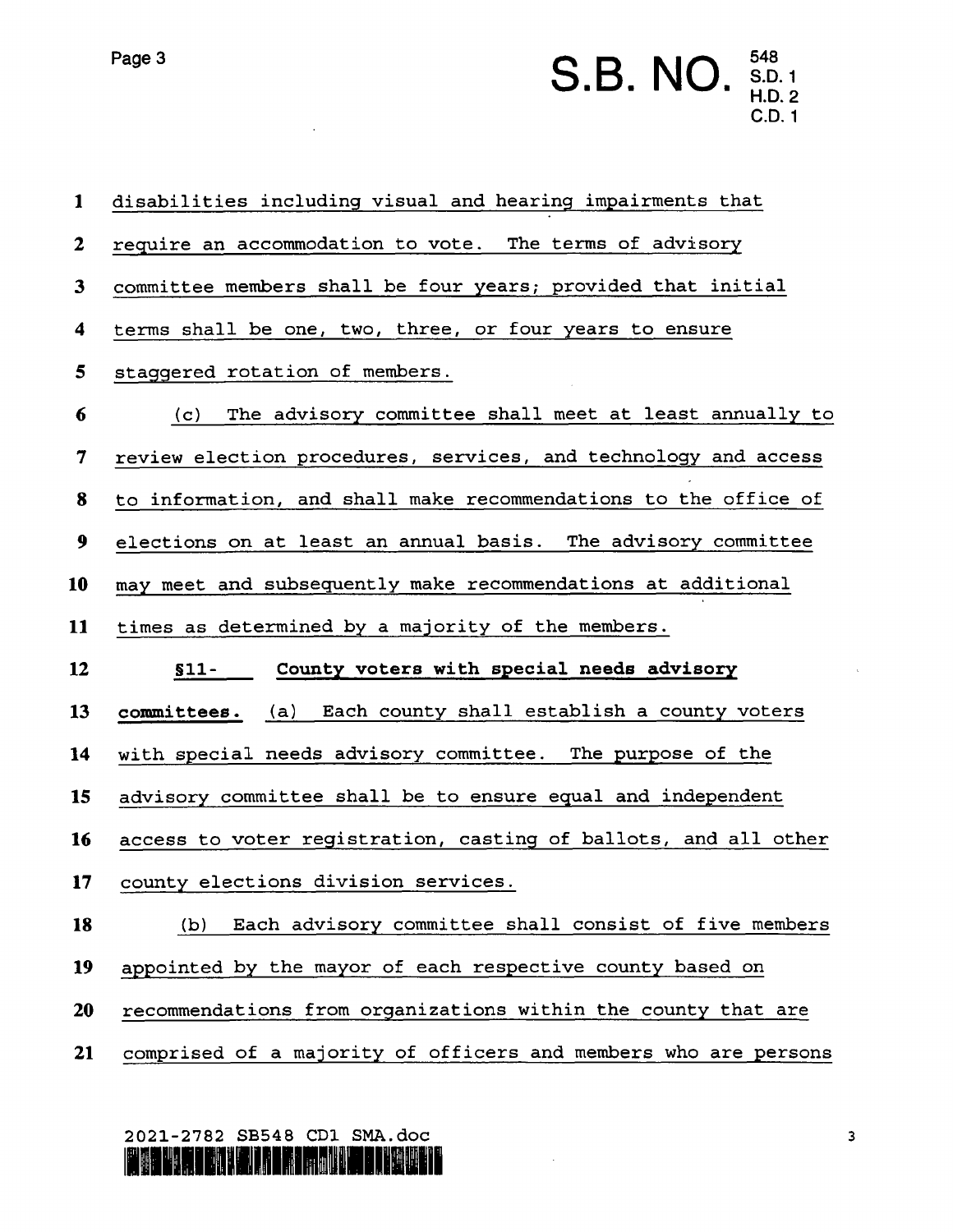S.D. 1 H.D. 2 C.D. 1

10

 $\mathbf{1}$ 

 $\boldsymbol{2}$ 

 $\mathbf{3}$ 

 $\boldsymbol{4}$ 

 $5\phantom{.0}$ 

 $\boldsymbol{6}$ 

 $\overline{7}$ 

8

 $\boldsymbol{9}$ 

ll

12

l3

l4

15

l6

l7

l8

| disabilities including visual and hearing impairments that      |  |  |
|-----------------------------------------------------------------|--|--|
| require an accommodation to vote. The terms of advisory         |  |  |
| committee members shall be four years; provided that initial    |  |  |
| terms shall be one, two, three, or four years to ensure         |  |  |
| staggered rotation of members.                                  |  |  |
| (c) The advisory committee shall meet at least annually to      |  |  |
| review election procedures, services, and technology and access |  |  |
| to information, and shall make recommendations to the office of |  |  |
| elections on at least an annual basis. The advisory committee   |  |  |
| may meet and subsequently make recommendations at additional    |  |  |
| times as determined by a majority of the members.               |  |  |
| \$11- County voters with special needs advisory                 |  |  |
| committees. (a) Each county shall establish a county voters     |  |  |
| with special needs advisory committee. The purpose of the       |  |  |
| advisory committee shall be to ensure equal and independent     |  |  |
| access to voter registration, casting of ballots, and all other |  |  |
| county elections division services.                             |  |  |
| Each advisory committee shall consist of five members<br>(b)    |  |  |

- l9 appointed by the mayor of each respective county based on
- 20 recommendations from organizations within the county that are
- 21 comprised of a majority of officers and members who are persons

2021-2782 SB548 CD1 SMA.dOC**TARITA** 

 $\overline{\mathbf{3}}$